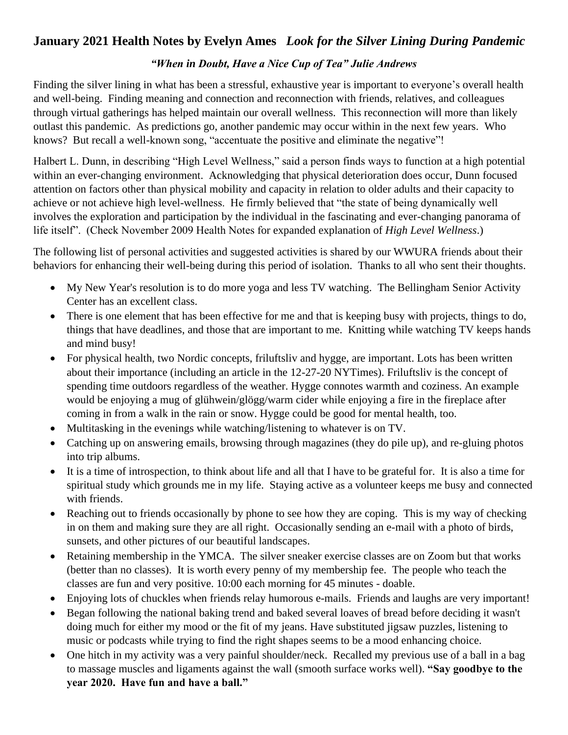## **January 2021 Health Notes by Evelyn Ames** *Look for the Silver Lining During Pandemic*

## *"When in Doubt, Have a Nice Cup of Tea" Julie Andrews*

Finding the silver lining in what has been a stressful, exhaustive year is important to everyone's overall health and well-being. Finding meaning and connection and reconnection with friends, relatives, and colleagues through virtual gatherings has helped maintain our overall wellness. This reconnection will more than likely outlast this pandemic. As predictions go, another pandemic may occur within in the next few years. Who knows? But recall a well-known song, "accentuate the positive and eliminate the negative"!

Halbert L. Dunn, in describing "High Level Wellness," said a person finds ways to function at a high potential within an ever-changing environment. Acknowledging that physical deterioration does occur, Dunn focused attention on factors other than physical mobility and capacity in relation to older adults and their capacity to achieve or not achieve high level-wellness. He firmly believed that "the state of being dynamically well involves the exploration and participation by the individual in the fascinating and ever-changing panorama of life itself". (Check November 2009 Health Notes for expanded explanation of *High Level Wellness*.)

The following list of personal activities and suggested activities is shared by our WWURA friends about their behaviors for enhancing their well-being during this period of isolation. Thanks to all who sent their thoughts.

- My New Year's resolution is to do more yoga and less TV watching. The Bellingham Senior Activity Center has an excellent class.
- There is one element that has been effective for me and that is keeping busy with projects, things to do, things that have deadlines, and those that are important to me. Knitting while watching TV keeps hands and mind busy!
- For physical health, two Nordic concepts, friluftsliv and hygge, are important. Lots has been written about their importance (including an article in the 12-27-20 NYTimes). Friluftsliv is the concept of spending time outdoors regardless of the weather. Hygge connotes warmth and coziness. An example would be enjoying a mug of glühwein/glögg/warm cider while enjoying a fire in the fireplace after coming in from a walk in the rain or snow. Hygge could be good for mental health, too.
- Multitasking in the evenings while watching/listening to whatever is on TV.
- Catching up on answering emails, browsing through magazines (they do pile up), and re-gluing photos into trip albums.
- It is a time of introspection, to think about life and all that I have to be grateful for. It is also a time for spiritual study which grounds me in my life. Staying active as a volunteer keeps me busy and connected with friends.
- Reaching out to friends occasionally by phone to see how they are coping. This is my way of checking in on them and making sure they are all right. Occasionally sending an e-mail with a photo of birds, sunsets, and other pictures of our beautiful landscapes.
- Retaining membership in the YMCA. The silver sneaker exercise classes are on Zoom but that works (better than no classes). It is worth every penny of my membership fee. The people who teach the classes are fun and very positive. 10:00 each morning for 45 minutes - doable.
- Enjoying lots of chuckles when friends relay humorous e-mails. Friends and laughs are very important!
- Began following the national baking trend and baked several loaves of bread before deciding it wasn't doing much for either my mood or the fit of my jeans. Have substituted jigsaw puzzles, listening to music or podcasts while trying to find the right shapes seems to be a mood enhancing choice.
- One hitch in my activity was a very painful shoulder/neck. Recalled my previous use of a ball in a bag to massage muscles and ligaments against the wall (smooth surface works well). **"Say goodbye to the year 2020. Have fun and have a ball."**